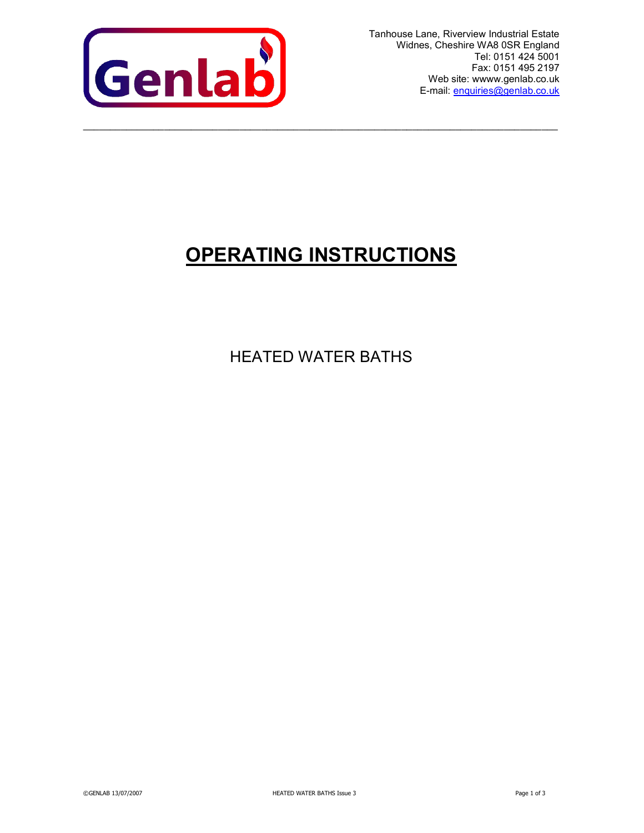

Tanhouse Lane, Riverview Industrial Estate Widnes, Cheshire WA8 0SR England Tel: 0151 424 5001 Fax: 0151 495 2197 Web site: wwww.genlab.co.uk E-mail: enquiries@genlab.co.uk

# OPERATING INSTRUCTIONS

 $\_$  ,  $\_$  ,  $\_$  ,  $\_$  ,  $\_$  ,  $\_$  ,  $\_$  ,  $\_$  ,  $\_$  ,  $\_$  ,  $\_$  ,  $\_$  ,  $\_$  ,  $\_$  ,  $\_$  ,  $\_$  ,  $\_$  ,  $\_$  ,  $\_$  ,  $\_$  ,  $\_$  ,  $\_$  ,  $\_$  ,  $\_$  ,  $\_$  ,  $\_$  ,  $\_$  ,  $\_$  ,  $\_$  ,  $\_$  ,  $\_$  ,  $\_$  ,  $\_$  ,  $\_$  ,  $\_$  ,  $\_$  ,  $\_$  ,

HEATED WATER BATHS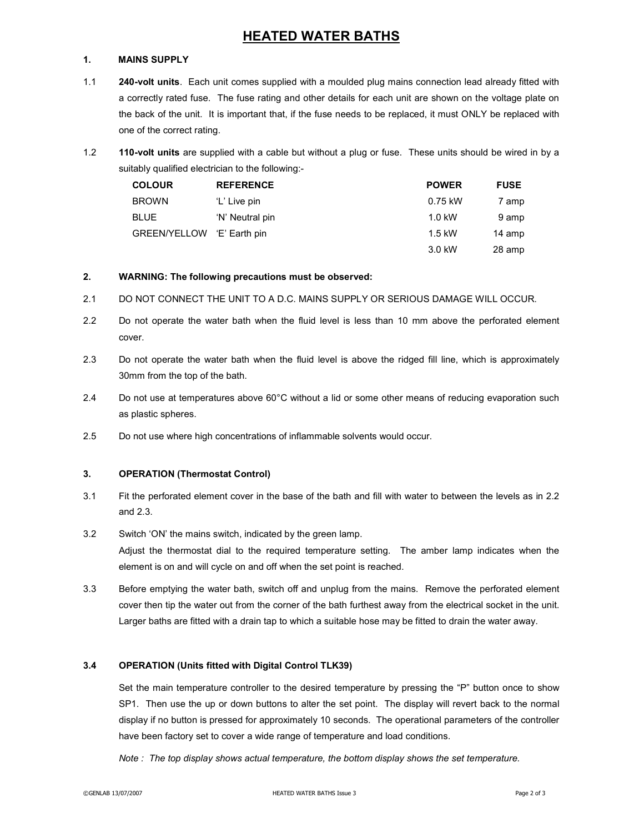# HEATED WATER BATHS

# 1. MAINS SUPPLY

- 1.1 240-volt units. Each unit comes supplied with a moulded plug mains connection lead already fitted with a correctly rated fuse. The fuse rating and other details for each unit are shown on the voltage plate on the back of the unit. It is important that, if the fuse needs to be replaced, it must ONLY be replaced with one of the correct rating.
- 1.2 110-volt units are supplied with a cable but without a plug or fuse. These units should be wired in by a suitably qualified electrician to the following:-

| <b>COLOUR</b>              | <b>REFERENCE</b> | <b>POWER</b> | <b>FUSE</b> |
|----------------------------|------------------|--------------|-------------|
| <b>BROWN</b>               | 'L' Live pin     | 0.75 kW      | 7 amp       |
| <b>BLUE</b>                | 'N' Neutral pin  | $1.0$ kW     | 9 amp       |
| GREEN/YELLOW 'E' Earth pin |                  | $1.5$ kW     | 14 amp      |
|                            |                  | 3.0 kW       | 28 amp      |

# 2. WARNING: The following precautions must be observed:

- 2.1 DO NOT CONNECT THE UNIT TO A D.C. MAINS SUPPLY OR SERIOUS DAMAGE WILL OCCUR.
- 2.2 Do not operate the water bath when the fluid level is less than 10 mm above the perforated element cover.
- 2.3 Do not operate the water bath when the fluid level is above the ridged fill line, which is approximately 30mm from the top of the bath.
- 2.4 Do not use at temperatures above 60°C without a lid or some other means of reducing evaporation such as plastic spheres.
- 2.5 Do not use where high concentrations of inflammable solvents would occur.

# 3. OPERATION (Thermostat Control)

- 3.1 Fit the perforated element cover in the base of the bath and fill with water to between the levels as in 2.2 and 2.3.
- 3.2 Switch 'ON' the mains switch, indicated by the green lamp. Adjust the thermostat dial to the required temperature setting. The amber lamp indicates when the element is on and will cycle on and off when the set point is reached.
- 3.3 Before emptying the water bath, switch off and unplug from the mains. Remove the perforated element cover then tip the water out from the corner of the bath furthest away from the electrical socket in the unit. Larger baths are fitted with a drain tap to which a suitable hose may be fitted to drain the water away.

# 3.4 OPERATION (Units fitted with Digital Control TLK39)

Set the main temperature controller to the desired temperature by pressing the "P" button once to show SP1. Then use the up or down buttons to alter the set point. The display will revert back to the normal display if no button is pressed for approximately 10 seconds. The operational parameters of the controller have been factory set to cover a wide range of temperature and load conditions.

Note : The top display shows actual temperature, the bottom display shows the set temperature.